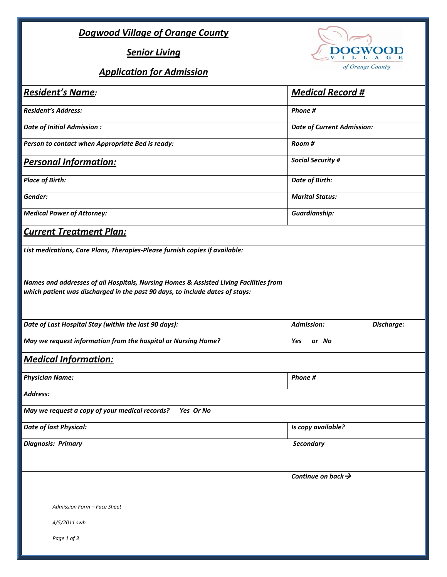## *Dogwood Village of Orange County*

*Senior Living*

## *Application for Admission*



| <b>Resident's Name:</b>                                                                                                                                               | <b>Medical Record #</b>           |            |
|-----------------------------------------------------------------------------------------------------------------------------------------------------------------------|-----------------------------------|------------|
| <b>Resident's Address:</b>                                                                                                                                            | Phone #                           |            |
| Date of Initial Admission :                                                                                                                                           | <b>Date of Current Admission:</b> |            |
| Person to contact when Appropriate Bed is ready:                                                                                                                      | Room #                            |            |
| <b>Personal Information:</b>                                                                                                                                          | <b>Social Security #</b>          |            |
| <b>Place of Birth:</b>                                                                                                                                                | <b>Date of Birth:</b>             |            |
| Gender:                                                                                                                                                               | <b>Marital Status:</b>            |            |
| <b>Medical Power of Attorney:</b>                                                                                                                                     | <b>Guardianship:</b>              |            |
| <b>Current Treatment Plan:</b>                                                                                                                                        |                                   |            |
| List medications, Care Plans, Therapies-Please furnish copies if available:                                                                                           |                                   |            |
| Names and addresses of all Hospitals, Nursing Homes & Assisted Living Facilities from<br>which patient was discharged in the past 90 days, to include dates of stays: |                                   |            |
|                                                                                                                                                                       |                                   |            |
| Date of Last Hospital Stay (within the last 90 days):                                                                                                                 | <b>Admission:</b>                 | Discharge: |
| May we request information from the hospital or Nursing Home?                                                                                                         | Yes<br>or No                      |            |
| <b>Medical Information:</b>                                                                                                                                           |                                   |            |
| <b>Physician Name:</b>                                                                                                                                                | Phone #                           |            |
| Address:                                                                                                                                                              |                                   |            |
| May we request a copy of your medical records?<br>Yes Or No                                                                                                           |                                   |            |
| Date of last Physical:                                                                                                                                                | Is copy available?                |            |
| <b>Diagnosis: Primary</b>                                                                                                                                             | <b>Secondary</b>                  |            |
|                                                                                                                                                                       | Continue on back $\rightarrow$    |            |
| Admission Form - Face Sheet                                                                                                                                           |                                   |            |
| 4/5/2011 swh                                                                                                                                                          |                                   |            |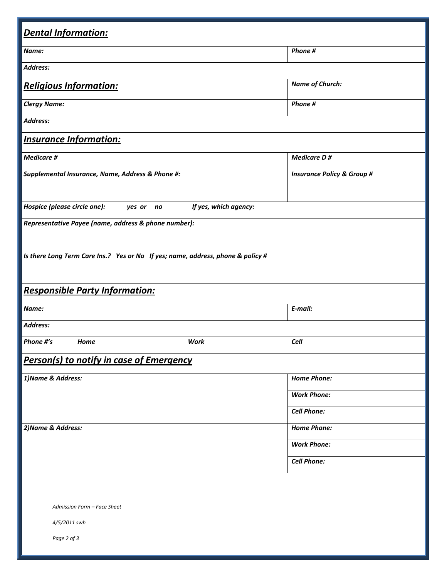| <b>Dental Information:</b>                                                      |                       |                                       |  |  |  |
|---------------------------------------------------------------------------------|-----------------------|---------------------------------------|--|--|--|
| Name:                                                                           |                       | Phone #                               |  |  |  |
| Address:                                                                        |                       |                                       |  |  |  |
| <b>Religious Information:</b>                                                   |                       | <b>Name of Church:</b>                |  |  |  |
| <b>Clergy Name:</b>                                                             |                       | Phone #                               |  |  |  |
| Address:                                                                        |                       |                                       |  |  |  |
| <b>Insurance Information:</b>                                                   |                       |                                       |  |  |  |
| <b>Medicare #</b>                                                               |                       | <b>Medicare D#</b>                    |  |  |  |
| Supplemental Insurance, Name, Address & Phone #:                                |                       | <b>Insurance Policy &amp; Group #</b> |  |  |  |
| Hospice (please circle one):<br>yes or no                                       | If yes, which agency: |                                       |  |  |  |
| Representative Payee (name, address & phone number):                            |                       |                                       |  |  |  |
| Is there Long Term Care Ins.? Yes or No If yes; name, address, phone & policy # |                       |                                       |  |  |  |
| <b>Responsible Party Information:</b>                                           |                       |                                       |  |  |  |
| Name:                                                                           |                       | E-mail:                               |  |  |  |
| Address:                                                                        |                       |                                       |  |  |  |
| Phone #'s<br>Home                                                               | Work                  | Cell                                  |  |  |  |
| <b>Person(s) to notify in case of Emergency</b>                                 |                       |                                       |  |  |  |
| 1) Name & Address:                                                              |                       | <b>Home Phone:</b>                    |  |  |  |
|                                                                                 |                       | <b>Work Phone:</b>                    |  |  |  |
|                                                                                 |                       | <b>Cell Phone:</b>                    |  |  |  |
| 2) Name & Address:                                                              |                       | <b>Home Phone:</b>                    |  |  |  |
|                                                                                 |                       | <b>Work Phone:</b>                    |  |  |  |
|                                                                                 |                       | <b>Cell Phone:</b>                    |  |  |  |
|                                                                                 |                       |                                       |  |  |  |
| Admission Form - Face Sheet                                                     |                       |                                       |  |  |  |
| 4/5/2011 swh                                                                    |                       |                                       |  |  |  |
| Page 2 of 3                                                                     |                       |                                       |  |  |  |
|                                                                                 |                       |                                       |  |  |  |